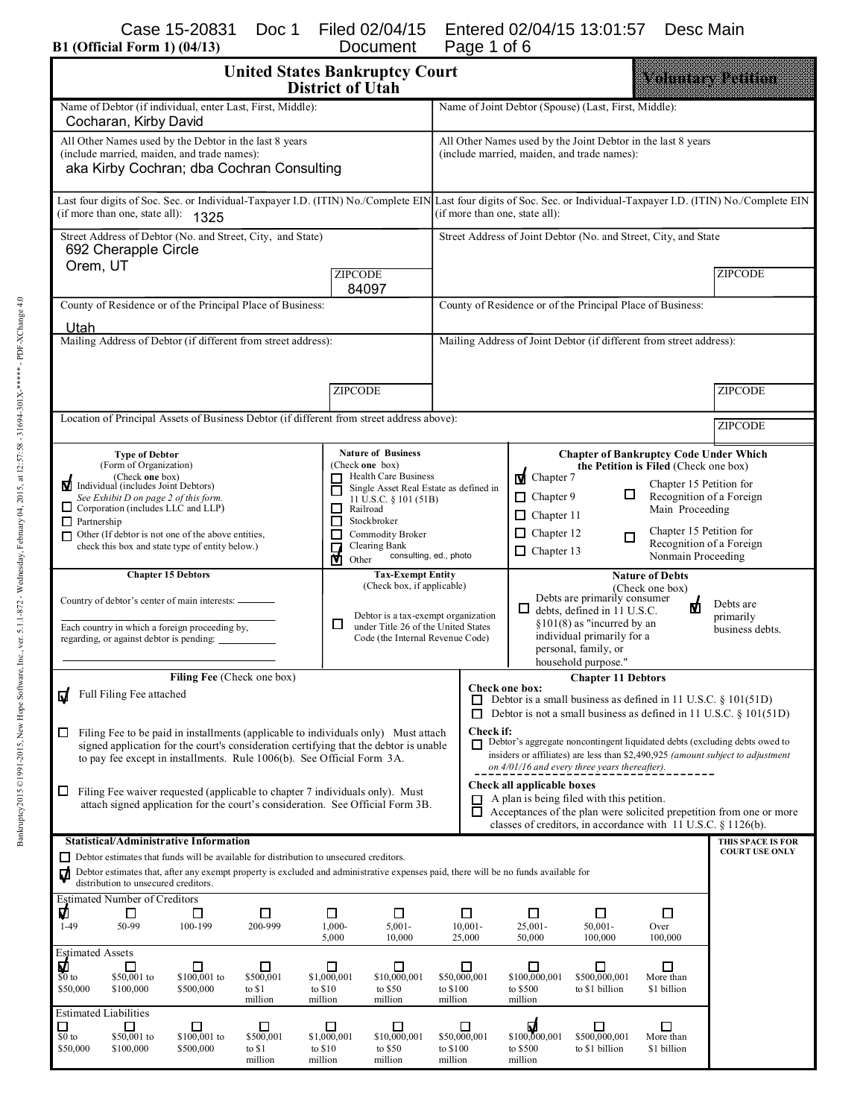Case 15-20831 Doc 1 Filed 02/04/15 Entered 02/04/15 13:01:57 Desc Main

| <b>B1 (Official Form 1) (04/13)</b>                                                                                                                                                                                                                                                                                                                                                                                               | Document                                                                                                                                                                                                                                                                                                                                                                                                                                                                                                                                | Page 1 of 6                                                     |                                                                                                                                                                                                       |                                                                                                                         |                                                                                                                                                                                                                                                                         |                                           |
|-----------------------------------------------------------------------------------------------------------------------------------------------------------------------------------------------------------------------------------------------------------------------------------------------------------------------------------------------------------------------------------------------------------------------------------|-----------------------------------------------------------------------------------------------------------------------------------------------------------------------------------------------------------------------------------------------------------------------------------------------------------------------------------------------------------------------------------------------------------------------------------------------------------------------------------------------------------------------------------------|-----------------------------------------------------------------|-------------------------------------------------------------------------------------------------------------------------------------------------------------------------------------------------------|-------------------------------------------------------------------------------------------------------------------------|-------------------------------------------------------------------------------------------------------------------------------------------------------------------------------------------------------------------------------------------------------------------------|-------------------------------------------|
| <b>United States Bankruptcy Court</b><br>Voluntary Petition<br><b>District of Utah</b>                                                                                                                                                                                                                                                                                                                                            |                                                                                                                                                                                                                                                                                                                                                                                                                                                                                                                                         |                                                                 |                                                                                                                                                                                                       |                                                                                                                         |                                                                                                                                                                                                                                                                         |                                           |
| Name of Debtor (if individual, enter Last, First, Middle):<br>Cocharan, Kirby David                                                                                                                                                                                                                                                                                                                                               | Name of Joint Debtor (Spouse) (Last, First, Middle):                                                                                                                                                                                                                                                                                                                                                                                                                                                                                    |                                                                 |                                                                                                                                                                                                       |                                                                                                                         |                                                                                                                                                                                                                                                                         |                                           |
| All Other Names used by the Debtor in the last 8 years<br>(include married, maiden, and trade names):<br>aka Kirby Cochran; dba Cochran Consulting                                                                                                                                                                                                                                                                                |                                                                                                                                                                                                                                                                                                                                                                                                                                                                                                                                         |                                                                 | All Other Names used by the Joint Debtor in the last 8 years<br>(include married, maiden, and trade names):                                                                                           |                                                                                                                         |                                                                                                                                                                                                                                                                         |                                           |
| (if more than one, state all):<br>1325                                                                                                                                                                                                                                                                                                                                                                                            |                                                                                                                                                                                                                                                                                                                                                                                                                                                                                                                                         |                                                                 | Last four digits of Soc. Sec. or Individual-Taxpayer I.D. (ITIN) No./Complete EIN Last four digits of Soc. Sec. or Individual-Taxpayer I.D. (ITIN) No./Complete EIN<br>(if more than one, state all): |                                                                                                                         |                                                                                                                                                                                                                                                                         |                                           |
| Street Address of Debtor (No. and Street, City, and State)<br>692 Cherapple Circle                                                                                                                                                                                                                                                                                                                                                |                                                                                                                                                                                                                                                                                                                                                                                                                                                                                                                                         | Street Address of Joint Debtor (No. and Street, City, and State |                                                                                                                                                                                                       |                                                                                                                         |                                                                                                                                                                                                                                                                         |                                           |
| Orem, UT                                                                                                                                                                                                                                                                                                                                                                                                                          | <b>ZIPCODE</b><br>84097                                                                                                                                                                                                                                                                                                                                                                                                                                                                                                                 |                                                                 |                                                                                                                                                                                                       |                                                                                                                         |                                                                                                                                                                                                                                                                         | <b>ZIPCODE</b>                            |
| County of Residence or of the Principal Place of Business:<br>Utah                                                                                                                                                                                                                                                                                                                                                                |                                                                                                                                                                                                                                                                                                                                                                                                                                                                                                                                         |                                                                 | County of Residence or of the Principal Place of Business:                                                                                                                                            |                                                                                                                         |                                                                                                                                                                                                                                                                         |                                           |
| Mailing Address of Debtor (if different from street address):                                                                                                                                                                                                                                                                                                                                                                     |                                                                                                                                                                                                                                                                                                                                                                                                                                                                                                                                         |                                                                 | Mailing Address of Joint Debtor (if different from street address):                                                                                                                                   |                                                                                                                         |                                                                                                                                                                                                                                                                         |                                           |
|                                                                                                                                                                                                                                                                                                                                                                                                                                   | <b>ZIPCODE</b>                                                                                                                                                                                                                                                                                                                                                                                                                                                                                                                          |                                                                 |                                                                                                                                                                                                       |                                                                                                                         |                                                                                                                                                                                                                                                                         | <b>ZIPCODE</b>                            |
| Location of Principal Assets of Business Debtor (if different from street address above):                                                                                                                                                                                                                                                                                                                                         |                                                                                                                                                                                                                                                                                                                                                                                                                                                                                                                                         |                                                                 |                                                                                                                                                                                                       |                                                                                                                         |                                                                                                                                                                                                                                                                         | <b>ZIPCODE</b>                            |
| <b>Type of Debtor</b><br>(Form of Organization)<br>(Check one box)<br>Individual (includes Joint Debtors)<br>See Exhibit D on page 2 of this form.<br>$\Box$ Corporation (includes LLC and LLP)<br>$\Box$ Partnership<br>$\Box$ Other (If debtor is not one of the above entities,<br>check this box and state type of entity below.)<br><b>Chapter 15 Debtors</b>                                                                | <b>Nature of Business</b><br>(Check one box)<br>Health Care Business<br>◻<br>Single Asset Real Estate as defined in<br>$\Box$<br>11 U.S.C. § 101 (51B)<br>□<br>Railroad<br>Stockbroker<br>$\Box$<br>Commodity Broker<br>□<br>Clearing Bank<br>Q<br>consulting, ed., photo<br>₫<br>Other<br><b>Tax-Exempt Entity</b>                                                                                                                                                                                                                     |                                                                 | ₫<br>Chapter 7<br>$\Box$ Chapter 9<br>$\Box$ Chapter 11<br>$\Box$ Chapter 12<br>$\Box$ Chapter 13                                                                                                     | ப<br>□                                                                                                                  | <b>Chapter of Bankruptcy Code Under Which</b><br>the Petition is Filed (Check one box)<br>Chapter 15 Petition for<br>Recognition of a Foreign<br>Main Proceeding<br>Chapter 15 Petition for<br>Recognition of a Foreign<br>Nonmain Proceeding<br><b>Nature of Debts</b> |                                           |
| Country of debtor's center of main interests: —<br>Each country in which a foreign proceeding by,<br>regarding, or against debtor is pending:                                                                                                                                                                                                                                                                                     | (Check box, if applicable)<br>Debtor is a tax-exempt organization<br>□<br>under Title 26 of the United States<br>Code (the Internal Revenue Code)                                                                                                                                                                                                                                                                                                                                                                                       |                                                                 | $\Box$<br>personal, family, or<br>household purpose."                                                                                                                                                 | Debts are primarily consumer<br>debts, defined in 11 U.S.C.<br>§101(8) as "incurred by an<br>individual primarily for a | (Check one box)<br>₥                                                                                                                                                                                                                                                    | Debts are<br>primarily<br>business debts. |
| Filing Fee (Check one box)<br><b>Chapter 11 Debtors</b><br>Check one box:<br>Full Filing Fee attached<br>₫<br>Debtor is a small business as defined in 11 U.S.C. $\S$ 101(51D)<br>□                                                                                                                                                                                                                                               |                                                                                                                                                                                                                                                                                                                                                                                                                                                                                                                                         |                                                                 |                                                                                                                                                                                                       |                                                                                                                         |                                                                                                                                                                                                                                                                         |                                           |
| □<br>Filing Fee to be paid in installments (applicable to individuals only) Must attach<br>signed application for the court's consideration certifying that the debtor is unable<br>to pay fee except in installments. Rule 1006(b). See Official Form 3A.<br>◻<br>Filing Fee waiver requested (applicable to chapter 7 individuals only). Must<br>attach signed application for the court's consideration. See Official Form 3B. | Debtor is not a small business as defined in 11 U.S.C. § 101(51D)<br>□<br>Check if:<br>Debtor's aggregate noncontingent liquidated debts (excluding debts owed to<br>п<br>insiders or affiliates) are less than \$2,490,925 (amount subject to adjustment<br>on 4/01/16 and every three years thereafter).<br>Check all applicable boxes<br>A plan is being filed with this petition.<br>П<br>Acceptances of the plan were solicited prepetition from one or more<br>ப<br>classes of creditors, in accordance with 11 U.S.C. § 1126(b). |                                                                 |                                                                                                                                                                                                       |                                                                                                                         |                                                                                                                                                                                                                                                                         |                                           |
| <b>Statistical/Administrative Information</b><br>THIS SPACE IS FOR<br><b>COURT USE ONLY</b>                                                                                                                                                                                                                                                                                                                                       |                                                                                                                                                                                                                                                                                                                                                                                                                                                                                                                                         |                                                                 |                                                                                                                                                                                                       |                                                                                                                         |                                                                                                                                                                                                                                                                         |                                           |
| Debtor estimates that funds will be available for distribution to unsecured creditors.<br>Debtor estimates that, after any exempt property is excluded and administrative expenses paid, there will be no funds available for<br>distribution to unsecured creditors.                                                                                                                                                             |                                                                                                                                                                                                                                                                                                                                                                                                                                                                                                                                         |                                                                 |                                                                                                                                                                                                       |                                                                                                                         |                                                                                                                                                                                                                                                                         |                                           |
| <b>Estimated Number of Creditors</b><br>Ø<br>□<br>□<br>□<br>50-99<br>100-199<br>200-999<br>$1-49$                                                                                                                                                                                                                                                                                                                                 | □<br>□<br>$1,000-$<br>$5,001 -$<br>5,000<br>10,000                                                                                                                                                                                                                                                                                                                                                                                                                                                                                      | ◻<br>$10,001 -$<br>25,000                                       | $\Box$<br>$25,001 -$<br>50,000                                                                                                                                                                        | $\Box$<br>$50,001 -$<br>100,000                                                                                         | □<br>Over<br>100,000                                                                                                                                                                                                                                                    |                                           |
| <b>Estimated Assets</b><br>$\frac{1}{30}$ to<br>$\sum_{\$100,001}$ to<br>□<br>\$500,001<br>\$50,001 to<br>\$100,000<br>\$500,000<br>\$50,000<br>to $$1$<br>million                                                                                                                                                                                                                                                                | □<br>\$1,000,001<br>\$10,000,001<br>to \$10<br>to \$50<br>million<br>million                                                                                                                                                                                                                                                                                                                                                                                                                                                            | $\sum_{\$50,000,001}$<br>to \$100<br>million                    | □<br>\$100,000,001<br>to \$500<br>million                                                                                                                                                             | ◻<br>\$500,000,001<br>to \$1 billion                                                                                    | □<br>More than<br>\$1 billion                                                                                                                                                                                                                                           |                                           |
| <b>Estimated Liabilities</b><br>$\Box$<br>□<br>□<br>□<br>\$0 to<br>\$100,001 to<br>\$500,001<br>\$50,001 to<br>\$50,000<br>\$100,000<br>\$500,000<br>to $$1$<br>million                                                                                                                                                                                                                                                           | □<br>$\Box$<br>\$1,000,001<br>\$10,000,001<br>to \$10<br>to \$50<br>million<br>million                                                                                                                                                                                                                                                                                                                                                                                                                                                  | □<br>\$50,000,001<br>to \$100<br>million                        | $\sum_{$100,000,001}$<br>to \$500<br>million                                                                                                                                                          | □<br>\$500,000,001<br>to \$1 billion                                                                                    | □<br>More than<br>\$1 billion                                                                                                                                                                                                                                           |                                           |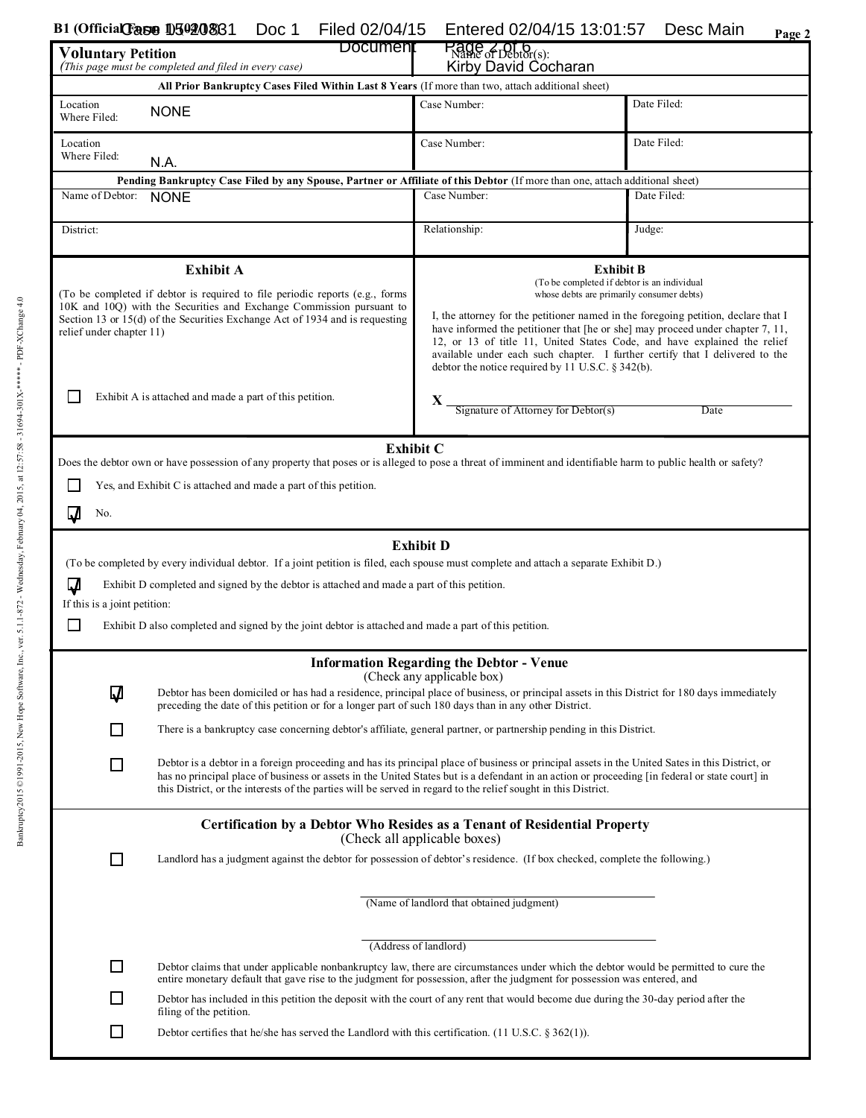| B1 (Official Gase 19920861                                                                                                                                                                                                                                                                                                                                                                                                    | Doc 1                                                                                                                                                                                                                                                             | Filed 02/04/15 | Entered 02/04/15 13:01:57                                                                                                                                                                                                                                                                                                                                                                                                                                                                                                                                  | Desc Main<br>Page 2 |  |
|-------------------------------------------------------------------------------------------------------------------------------------------------------------------------------------------------------------------------------------------------------------------------------------------------------------------------------------------------------------------------------------------------------------------------------|-------------------------------------------------------------------------------------------------------------------------------------------------------------------------------------------------------------------------------------------------------------------|----------------|------------------------------------------------------------------------------------------------------------------------------------------------------------------------------------------------------------------------------------------------------------------------------------------------------------------------------------------------------------------------------------------------------------------------------------------------------------------------------------------------------------------------------------------------------------|---------------------|--|
| <b>Document</b><br>$P_{\text{N4M}}^{q}$ of $Q_{\text{B}}^{q}$ $Q_{\text{B}}^{q}$ $Q_{\text{S}}^{q}$<br><b>Voluntary Petition</b><br>(This page must be completed and filed in every case)<br>Kirby David Cocharan                                                                                                                                                                                                             |                                                                                                                                                                                                                                                                   |                |                                                                                                                                                                                                                                                                                                                                                                                                                                                                                                                                                            |                     |  |
|                                                                                                                                                                                                                                                                                                                                                                                                                               |                                                                                                                                                                                                                                                                   |                | All Prior Bankruptcy Cases Filed Within Last 8 Years (If more than two, attach additional sheet)                                                                                                                                                                                                                                                                                                                                                                                                                                                           |                     |  |
| Location<br>Where Filed:                                                                                                                                                                                                                                                                                                                                                                                                      | <b>NONE</b>                                                                                                                                                                                                                                                       |                | Case Number:                                                                                                                                                                                                                                                                                                                                                                                                                                                                                                                                               | Date Filed:         |  |
| Location<br>Where Filed:                                                                                                                                                                                                                                                                                                                                                                                                      | N.A.                                                                                                                                                                                                                                                              |                | Case Number:                                                                                                                                                                                                                                                                                                                                                                                                                                                                                                                                               | Date Filed:         |  |
|                                                                                                                                                                                                                                                                                                                                                                                                                               |                                                                                                                                                                                                                                                                   |                | Pending Bankruptcy Case Filed by any Spouse, Partner or Affiliate of this Debtor (If more than one, attach additional sheet)                                                                                                                                                                                                                                                                                                                                                                                                                               |                     |  |
| Name of Debtor:                                                                                                                                                                                                                                                                                                                                                                                                               | <b>NONE</b>                                                                                                                                                                                                                                                       |                | Case Number:                                                                                                                                                                                                                                                                                                                                                                                                                                                                                                                                               | Date Filed:         |  |
| District:                                                                                                                                                                                                                                                                                                                                                                                                                     |                                                                                                                                                                                                                                                                   |                | Relationship:                                                                                                                                                                                                                                                                                                                                                                                                                                                                                                                                              | Judge:              |  |
| <b>Exhibit A</b><br>(To be completed if debtor is required to file periodic reports (e.g., forms)<br>10K and 10Q) with the Securities and Exchange Commission pursuant to<br>Section 13 or 15(d) of the Securities Exchange Act of 1934 and is requesting<br>relief under chapter 11)<br>Exhibit A is attached and made a part of this petition.                                                                              |                                                                                                                                                                                                                                                                   |                | <b>Exhibit B</b><br>(To be completed if debtor is an individual<br>whose debts are primarily consumer debts)<br>I, the attorney for the petitioner named in the foregoing petition, declare that I<br>have informed the petitioner that [he or she] may proceed under chapter 7, 11,<br>12, or 13 of title 11, United States Code, and have explained the relief<br>available under each such chapter. I further certify that I delivered to the<br>debtor the notice required by 11 U.S.C. § 342(b).<br>Χ.<br>Signature of Attorney for Debtor(s)<br>Date |                     |  |
|                                                                                                                                                                                                                                                                                                                                                                                                                               |                                                                                                                                                                                                                                                                   |                | <b>Exhibit C</b>                                                                                                                                                                                                                                                                                                                                                                                                                                                                                                                                           |                     |  |
|                                                                                                                                                                                                                                                                                                                                                                                                                               |                                                                                                                                                                                                                                                                   |                | Does the debtor own or have possession of any property that poses or is alleged to pose a threat of imminent and identifiable harm to public health or safety?                                                                                                                                                                                                                                                                                                                                                                                             |                     |  |
|                                                                                                                                                                                                                                                                                                                                                                                                                               | Yes, and Exhibit C is attached and made a part of this petition.                                                                                                                                                                                                  |                |                                                                                                                                                                                                                                                                                                                                                                                                                                                                                                                                                            |                     |  |
|                                                                                                                                                                                                                                                                                                                                                                                                                               |                                                                                                                                                                                                                                                                   |                |                                                                                                                                                                                                                                                                                                                                                                                                                                                                                                                                                            |                     |  |
| Q<br>No.                                                                                                                                                                                                                                                                                                                                                                                                                      |                                                                                                                                                                                                                                                                   |                |                                                                                                                                                                                                                                                                                                                                                                                                                                                                                                                                                            |                     |  |
| <b>Exhibit D</b><br>(To be completed by every individual debtor. If a joint petition is filed, each spouse must complete and attach a separate Exhibit D.)<br>⋥<br>Exhibit D completed and signed by the debtor is attached and made a part of this petition.<br>If this is a joint petition:<br>ΙI<br>Exhibit D also completed and signed by the joint debtor is attached and made a part of this petition.                  |                                                                                                                                                                                                                                                                   |                |                                                                                                                                                                                                                                                                                                                                                                                                                                                                                                                                                            |                     |  |
| <b>Information Regarding the Debtor - Venue</b>                                                                                                                                                                                                                                                                                                                                                                               |                                                                                                                                                                                                                                                                   |                |                                                                                                                                                                                                                                                                                                                                                                                                                                                                                                                                                            |                     |  |
| (Check any applicable box)<br>⋥<br>Debtor has been domiciled or has had a residence, principal place of business, or principal assets in this District for 180 days immediately<br>preceding the date of this petition or for a longer part of such 180 days than in any other District.                                                                                                                                      |                                                                                                                                                                                                                                                                   |                |                                                                                                                                                                                                                                                                                                                                                                                                                                                                                                                                                            |                     |  |
| ΙI                                                                                                                                                                                                                                                                                                                                                                                                                            | There is a bankruptcy case concerning debtor's affiliate, general partner, or partnership pending in this District.                                                                                                                                               |                |                                                                                                                                                                                                                                                                                                                                                                                                                                                                                                                                                            |                     |  |
| Debtor is a debtor in a foreign proceeding and has its principal place of business or principal assets in the United Sates in this District, or<br>$\Box$<br>has no principal place of business or assets in the United States but is a defendant in an action or proceeding [in federal or state court] in<br>this District, or the interests of the parties will be served in regard to the relief sought in this District. |                                                                                                                                                                                                                                                                   |                |                                                                                                                                                                                                                                                                                                                                                                                                                                                                                                                                                            |                     |  |
| <b>Certification by a Debtor Who Resides as a Tenant of Residential Property</b><br>(Check all applicable boxes)                                                                                                                                                                                                                                                                                                              |                                                                                                                                                                                                                                                                   |                |                                                                                                                                                                                                                                                                                                                                                                                                                                                                                                                                                            |                     |  |
| $\Box$                                                                                                                                                                                                                                                                                                                                                                                                                        |                                                                                                                                                                                                                                                                   |                | Landlord has a judgment against the debtor for possession of debtor's residence. (If box checked, complete the following.)                                                                                                                                                                                                                                                                                                                                                                                                                                 |                     |  |
| (Name of landlord that obtained judgment)                                                                                                                                                                                                                                                                                                                                                                                     |                                                                                                                                                                                                                                                                   |                |                                                                                                                                                                                                                                                                                                                                                                                                                                                                                                                                                            |                     |  |
|                                                                                                                                                                                                                                                                                                                                                                                                                               |                                                                                                                                                                                                                                                                   |                | (Address of landlord)                                                                                                                                                                                                                                                                                                                                                                                                                                                                                                                                      |                     |  |
| □                                                                                                                                                                                                                                                                                                                                                                                                                             | Debtor claims that under applicable nonbankruptcy law, there are circumstances under which the debtor would be permitted to cure the<br>entire monetary default that gave rise to the judgment for possession, after the judgment for possession was entered, and |                |                                                                                                                                                                                                                                                                                                                                                                                                                                                                                                                                                            |                     |  |
| Ш                                                                                                                                                                                                                                                                                                                                                                                                                             | Debtor has included in this petition the deposit with the court of any rent that would become due during the 30-day period after the<br>filing of the petition.                                                                                                   |                |                                                                                                                                                                                                                                                                                                                                                                                                                                                                                                                                                            |                     |  |
| П                                                                                                                                                                                                                                                                                                                                                                                                                             | Debtor certifies that he/she has served the Landlord with this certification. $(11 \text{ U.S.C.} \S 362(1))$ .                                                                                                                                                   |                |                                                                                                                                                                                                                                                                                                                                                                                                                                                                                                                                                            |                     |  |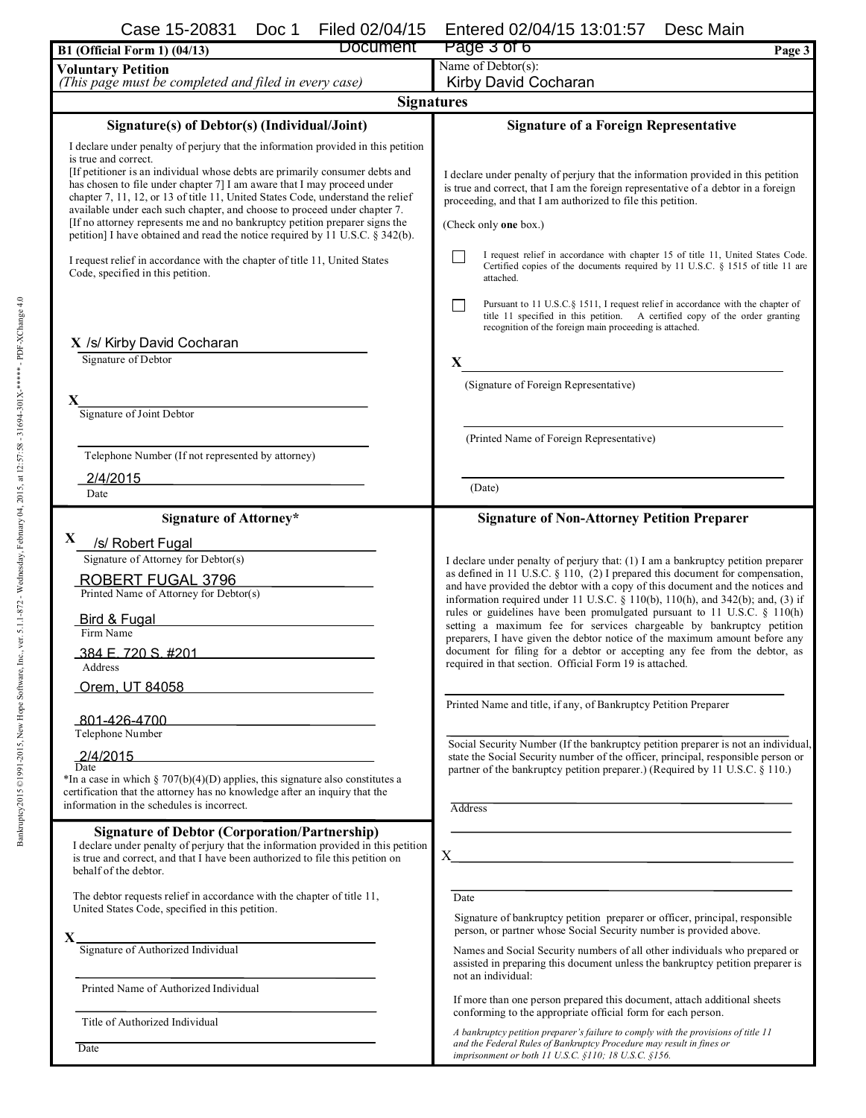|  |  |  | Case 15-20831 Doc 1 Filed 02/04/15 Entered 02/04/15 13:01:57 Desc Main |  |
|--|--|--|------------------------------------------------------------------------|--|
|--|--|--|------------------------------------------------------------------------|--|

| <b>Document</b><br>B1 (Official Form 1) $(04/13)$                                                                                                                                                                                                                                                                                                                                                                                    | Page 3 of 6<br>Page 3                                                                                                                                                                                                                                                                                                                                                                                                                                                                                                                                                                                                                                                                                                |  |  |
|--------------------------------------------------------------------------------------------------------------------------------------------------------------------------------------------------------------------------------------------------------------------------------------------------------------------------------------------------------------------------------------------------------------------------------------|----------------------------------------------------------------------------------------------------------------------------------------------------------------------------------------------------------------------------------------------------------------------------------------------------------------------------------------------------------------------------------------------------------------------------------------------------------------------------------------------------------------------------------------------------------------------------------------------------------------------------------------------------------------------------------------------------------------------|--|--|
| <b>Voluntary Petition</b>                                                                                                                                                                                                                                                                                                                                                                                                            | Name of Debtor(s):                                                                                                                                                                                                                                                                                                                                                                                                                                                                                                                                                                                                                                                                                                   |  |  |
| (This page must be completed and filed in every case)                                                                                                                                                                                                                                                                                                                                                                                | Kirby David Cocharan                                                                                                                                                                                                                                                                                                                                                                                                                                                                                                                                                                                                                                                                                                 |  |  |
| <b>Signatures</b>                                                                                                                                                                                                                                                                                                                                                                                                                    |                                                                                                                                                                                                                                                                                                                                                                                                                                                                                                                                                                                                                                                                                                                      |  |  |
| Signature(s) of Debtor(s) (Individual/Joint)                                                                                                                                                                                                                                                                                                                                                                                         | <b>Signature of a Foreign Representative</b>                                                                                                                                                                                                                                                                                                                                                                                                                                                                                                                                                                                                                                                                         |  |  |
| I declare under penalty of perjury that the information provided in this petition<br>is true and correct.<br>[If petitioner is an individual whose debts are primarily consumer debts and<br>has chosen to file under chapter 7] I am aware that I may proceed under<br>chapter 7, 11, 12, or 13 of title 11, United States Code, understand the relief<br>available under each such chapter, and choose to proceed under chapter 7. | I declare under penalty of perjury that the information provided in this petition<br>is true and correct, that I am the foreign representative of a debtor in a foreign<br>proceeding, and that I am authorized to file this petition.                                                                                                                                                                                                                                                                                                                                                                                                                                                                               |  |  |
| [If no attorney represents me and no bankruptcy petition preparer signs the<br>petition] I have obtained and read the notice required by 11 U.S.C. § 342(b).                                                                                                                                                                                                                                                                         | (Check only one box.)                                                                                                                                                                                                                                                                                                                                                                                                                                                                                                                                                                                                                                                                                                |  |  |
| I request relief in accordance with the chapter of title 11, United States<br>Code, specified in this petition.                                                                                                                                                                                                                                                                                                                      | I request relief in accordance with chapter 15 of title 11, United States Code.<br>$\Box$<br>Certified copies of the documents required by 11 U.S.C. § 1515 of title 11 are<br>attached.                                                                                                                                                                                                                                                                                                                                                                                                                                                                                                                             |  |  |
|                                                                                                                                                                                                                                                                                                                                                                                                                                      | $\Box$<br>Pursuant to 11 U.S.C. § 1511, I request relief in accordance with the chapter of<br>title 11 specified in this petition. A certified copy of the order granting<br>recognition of the foreign main proceeding is attached.                                                                                                                                                                                                                                                                                                                                                                                                                                                                                 |  |  |
| X /s/ Kirby David Cocharan<br>Signature of Debtor                                                                                                                                                                                                                                                                                                                                                                                    | $\mathbf{X}$                                                                                                                                                                                                                                                                                                                                                                                                                                                                                                                                                                                                                                                                                                         |  |  |
|                                                                                                                                                                                                                                                                                                                                                                                                                                      | (Signature of Foreign Representative)                                                                                                                                                                                                                                                                                                                                                                                                                                                                                                                                                                                                                                                                                |  |  |
| Signature of Joint Debtor                                                                                                                                                                                                                                                                                                                                                                                                            |                                                                                                                                                                                                                                                                                                                                                                                                                                                                                                                                                                                                                                                                                                                      |  |  |
|                                                                                                                                                                                                                                                                                                                                                                                                                                      | (Printed Name of Foreign Representative)                                                                                                                                                                                                                                                                                                                                                                                                                                                                                                                                                                                                                                                                             |  |  |
| Telephone Number (If not represented by attorney)                                                                                                                                                                                                                                                                                                                                                                                    |                                                                                                                                                                                                                                                                                                                                                                                                                                                                                                                                                                                                                                                                                                                      |  |  |
| 2/4/2015                                                                                                                                                                                                                                                                                                                                                                                                                             |                                                                                                                                                                                                                                                                                                                                                                                                                                                                                                                                                                                                                                                                                                                      |  |  |
| Date                                                                                                                                                                                                                                                                                                                                                                                                                                 | (Date)                                                                                                                                                                                                                                                                                                                                                                                                                                                                                                                                                                                                                                                                                                               |  |  |
| <b>Signature of Attorney*</b>                                                                                                                                                                                                                                                                                                                                                                                                        | <b>Signature of Non-Attorney Petition Preparer</b>                                                                                                                                                                                                                                                                                                                                                                                                                                                                                                                                                                                                                                                                   |  |  |
| X<br>/s/ Robert Fugal<br>Signature of Attorney for Debtor(s)<br>ROBERT FUGAL 3796<br>Printed Name of Attorney for Debtor(s)<br>Bird & Fugal<br>Firm Name<br>384 E. 720 S. #201<br><b>Address</b><br>Orem, UT 84058                                                                                                                                                                                                                   | I declare under penalty of perjury that: (1) I am a bankruptcy petition preparer<br>as defined in 11 U.S.C. $\S$ 110, (2) I prepared this document for compensation,<br>and have provided the debtor with a copy of this document and the notices and<br>information required under 11 U.S.C. $\S$ 110(b), 110(h), and 342(b); and, (3) if<br>rules or guidelines have been promulgated pursuant to 11 U.S.C. § 110(h)<br>setting a maximum fee for services chargeable by bankruptcy petition<br>preparers, I have given the debtor notice of the maximum amount before any<br>document for filing for a debtor or accepting any fee from the debtor, as<br>required in that section. Official Form 19 is attached. |  |  |
| <u>801-426-4700</u>                                                                                                                                                                                                                                                                                                                                                                                                                  | Printed Name and title, if any, of Bankruptcy Petition Preparer                                                                                                                                                                                                                                                                                                                                                                                                                                                                                                                                                                                                                                                      |  |  |
| Telephone Number<br>2/4/2015<br>Date<br>*In a case in which $\S$ 707(b)(4)(D) applies, this signature also constitutes a<br>certification that the attorney has no knowledge after an inquiry that the<br>information in the schedules is incorrect.                                                                                                                                                                                 | Social Security Number (If the bankruptcy petition preparer is not an individual,<br>state the Social Security number of the officer, principal, responsible person or<br>partner of the bankruptcy petition preparer.) (Required by 11 U.S.C. § 110.)<br><b>Address</b>                                                                                                                                                                                                                                                                                                                                                                                                                                             |  |  |
| <b>Signature of Debtor (Corporation/Partnership)</b><br>I declare under penalty of perjury that the information provided in this petition<br>is true and correct, and that I have been authorized to file this petition on<br>behalf of the debtor.                                                                                                                                                                                  | X                                                                                                                                                                                                                                                                                                                                                                                                                                                                                                                                                                                                                                                                                                                    |  |  |
| The debtor requests relief in accordance with the chapter of title 11,<br>United States Code, specified in this petition.                                                                                                                                                                                                                                                                                                            | Date<br>Signature of bankruptcy petition preparer or officer, principal, responsible                                                                                                                                                                                                                                                                                                                                                                                                                                                                                                                                                                                                                                 |  |  |
| X<br>Signature of Authorized Individual                                                                                                                                                                                                                                                                                                                                                                                              | person, or partner whose Social Security number is provided above.<br>Names and Social Security numbers of all other individuals who prepared or<br>assisted in preparing this document unless the bankruptcy petition preparer is                                                                                                                                                                                                                                                                                                                                                                                                                                                                                   |  |  |
| Printed Name of Authorized Individual                                                                                                                                                                                                                                                                                                                                                                                                | not an individual:<br>If more than one person prepared this document, attach additional sheets                                                                                                                                                                                                                                                                                                                                                                                                                                                                                                                                                                                                                       |  |  |
| Title of Authorized Individual                                                                                                                                                                                                                                                                                                                                                                                                       | conforming to the appropriate official form for each person.<br>A bankruptcy petition preparer's failure to comply with the provisions of title 11                                                                                                                                                                                                                                                                                                                                                                                                                                                                                                                                                                   |  |  |
| Date                                                                                                                                                                                                                                                                                                                                                                                                                                 | and the Federal Rules of Bankruptcy Procedure may result in fines or<br>imprisonment or both 11 U.S.C. §110; 18 U.S.C. §156.                                                                                                                                                                                                                                                                                                                                                                                                                                                                                                                                                                                         |  |  |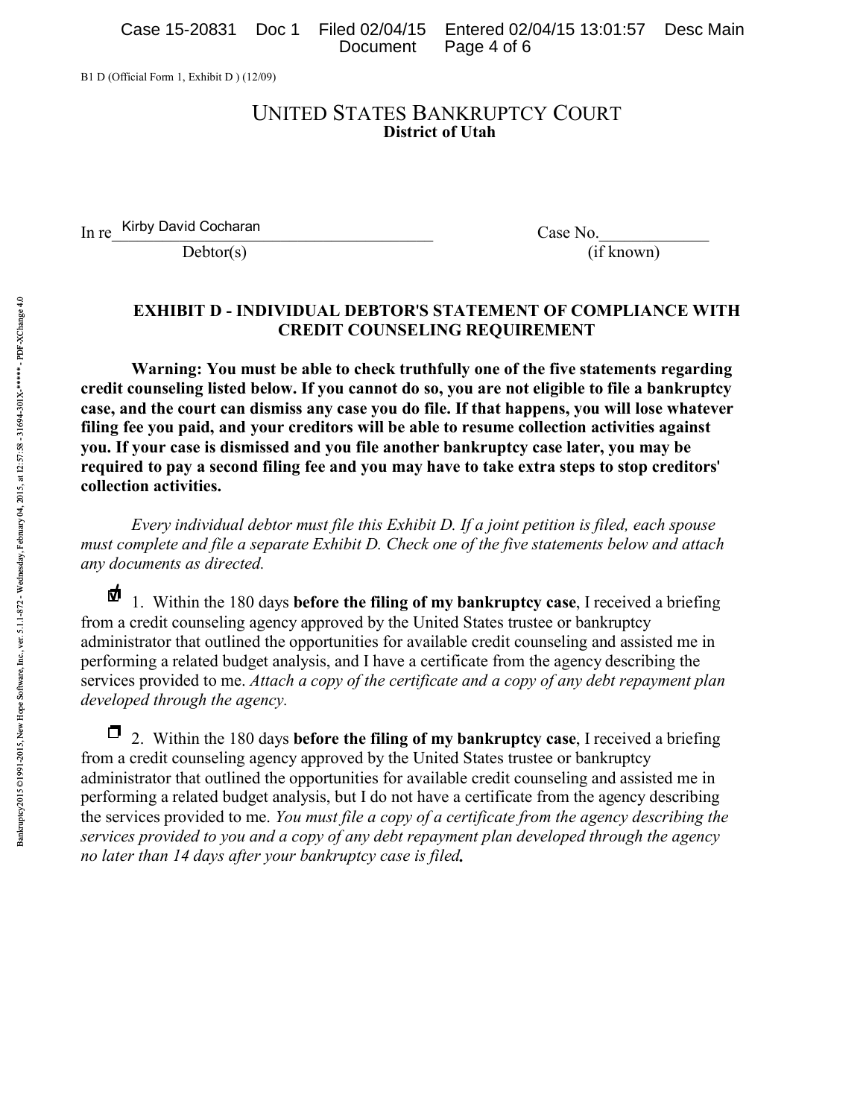B1 D (Official Form 1, Exhibit D ) (12/09)

## UNITED STATES BANKRUPTCY COURT **District of Utah**

In re\_Kirby David Cocharan and Cocharan Case No.

Debtor(s) (if known)

## **EXHIBIT D - INDIVIDUAL DEBTOR**'**S STATEMENT OF COMPLIANCE WITH CREDIT COUNSELING REQUIREMENT**

**Warning: You must be able to check truthfully one of the five statements regarding credit counseling listed below. If you cannot do so, you are not eligible to file a bankruptcy case, and the court can dismiss any case you do file. If that happens, you will lose whatever filing fee you paid, and your creditors will be able to resume collection activities against you. If your case is dismissed and you file another bankruptcy case later, you may be required to pay a second filing fee and you may have to take extra steps to stop creditors**' **collection activities.** 

*Every individual debtor must file this Exhibit D. If a joint petition is filed, each spouse must complete and file a separate Exhibit D. Check one of the five statements below and attach any documents as directed.* 

₫ 1. Within the 180 days **before the filing of my bankruptcy case**, I received a briefing from a credit counseling agency approved by the United States trustee or bankruptcy administrator that outlined the opportunities for available credit counseling and assisted me in performing a related budget analysis, and I have a certificate from the agency describing the services provided to me. *Attach a copy of the certificate and a copy of any debt repayment plan developed through the agency.* 

σ 2. Within the 180 days **before the filing of my bankruptcy case**, I received a briefing from a credit counseling agency approved by the United States trustee or bankruptcy administrator that outlined the opportunities for available credit counseling and assisted me in performing a related budget analysis, but I do not have a certificate from the agency describing the services provided to me. *You must file a copy of a certificate from the agency describing the services provided to you and a copy of any debt repayment plan developed through the agency no later than 14 days after your bankruptcy case is filed.*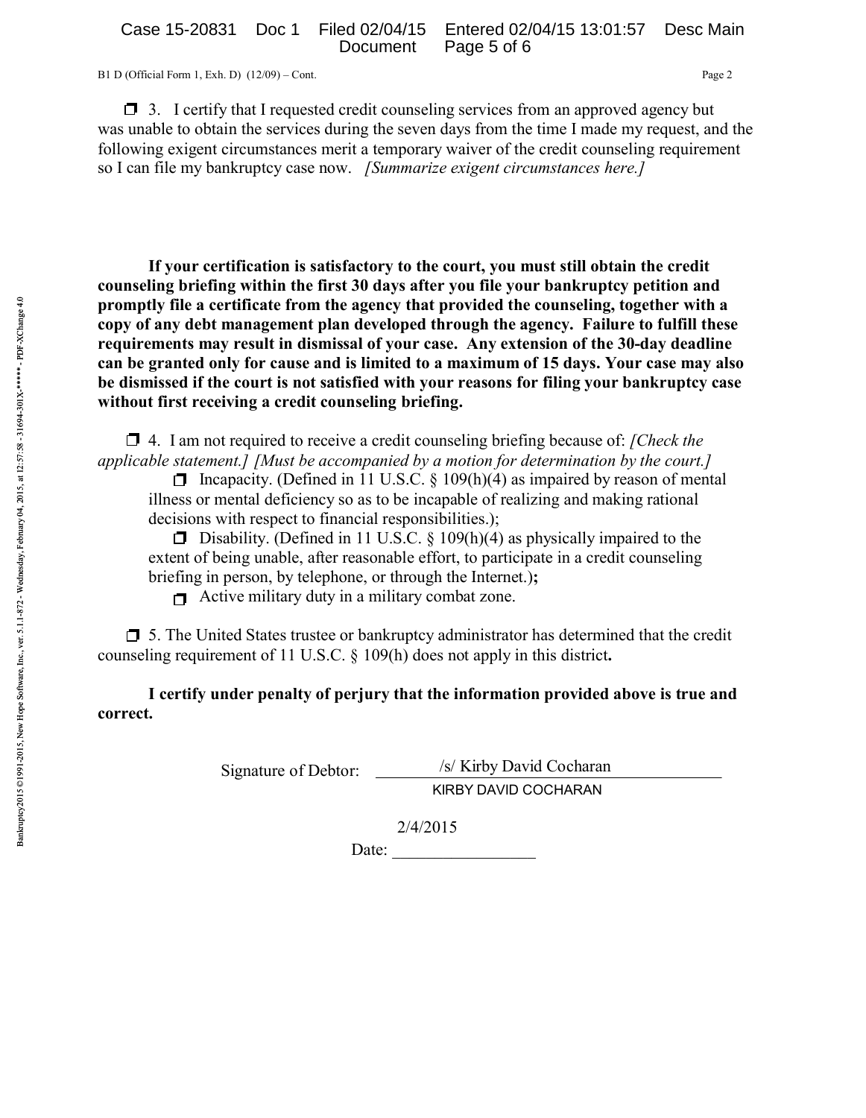B1 D (Official Form 1, Exh. D) (12/09) – Cont. Page 2

 $\Box$  3. I certify that I requested credit counseling services from an approved agency but was unable to obtain the services during the seven days from the time I made my request, and the following exigent circumstances merit a temporary waiver of the credit counseling requirement so I can file my bankruptcy case now. *[Summarize exigent circumstances here.]* 

**If your certification is satisfactory to the court, you must still obtain the credit counseling briefing within the first 30 days after you file your bankruptcy petition and promptly file a certificate from the agency that provided the counseling, together with a copy of any debt management plan developed through the agency. Failure to fulfill these requirements may result in dismissal of your case. Any extension of the 30-day deadline can be granted only for cause and is limited to a maximum of 15 days. Your case may also be dismissed if the court is not satisfied with your reasons for filing your bankruptcy case without first receiving a credit counseling briefing.** 

4. I am not required to receive a credit counseling briefing because of: *[Check the applicable statement.] [Must be accompanied by a motion for determination by the court.]* 

**Incapacity.** (Defined in 11 U.S.C.  $\S$  109(h)(4) as impaired by reason of mental illness or mental deficiency so as to be incapable of realizing and making rational decisions with respect to financial responsibilities.);

 $\Box$  Disability. (Defined in 11 U.S.C. § 109(h)(4) as physically impaired to the extent of being unable, after reasonable effort, to participate in a credit counseling briefing in person, by telephone, or through the Internet.)**;** 

Active military duty in a military combat zone.

5. The United States trustee or bankruptcy administrator has determined that the credit counseling requirement of 11 U.S.C. § 109(h) does not apply in this district**.** 

## **I certify under penalty of perjury that the information provided above is true and correct.**

Signature of Debtor: /s/ Kirby David Cocharan<br>KIRBY DAVID COCHARAN<br>2/4/2015<br>Date: KIRBY DAVID COCHARAN

2/4/2015